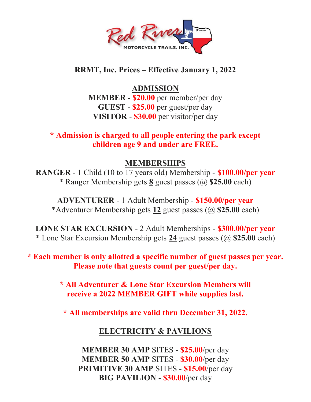

## RRMT, Inc. Prices – Effective January 1, 2022

# ADMISSION

MEMBER - \$20.00 per member/per day GUEST - \$25.00 per guest/per day VISITOR - \$30.00 per visitor/per day

\* Admission is charged to all people entering the park except children age 9 and under are FREE.

## MEMBERSHIPS

RANGER - 1 Child (10 to 17 years old) Membership - \$100.00/per year \* Ranger Membership gets 8 guest passes (@ \$25.00 each)

ADVENTURER - 1 Adult Membership - \$150.00/per year \*Adventurer Membership gets 12 guest passes (@ \$25.00 each)

LONE STAR EXCURSION - 2 Adult Memberships - \$300.00/per year \* Lone Star Excursion Membership gets 24 guest passes (@ \$25.00 each)

### \* Each member is only allotted a specific number of guest passes per year. Please note that guests count per guest/per day.

\* All Adventurer & Lone Star Excursion Members will receive a 2022 MEMBER GIFT while supplies last.

\* All memberships are valid thru December 31, 2022.

# ELECTRICITY & PAVILIONS

MEMBER 30 AMP SITES - \$25.00/per day MEMBER 50 AMP SITES - \$30.00/per day PRIMITIVE 30 AMP SITES - \$15.00/per day BIG PAVILION - \$30.00/per day